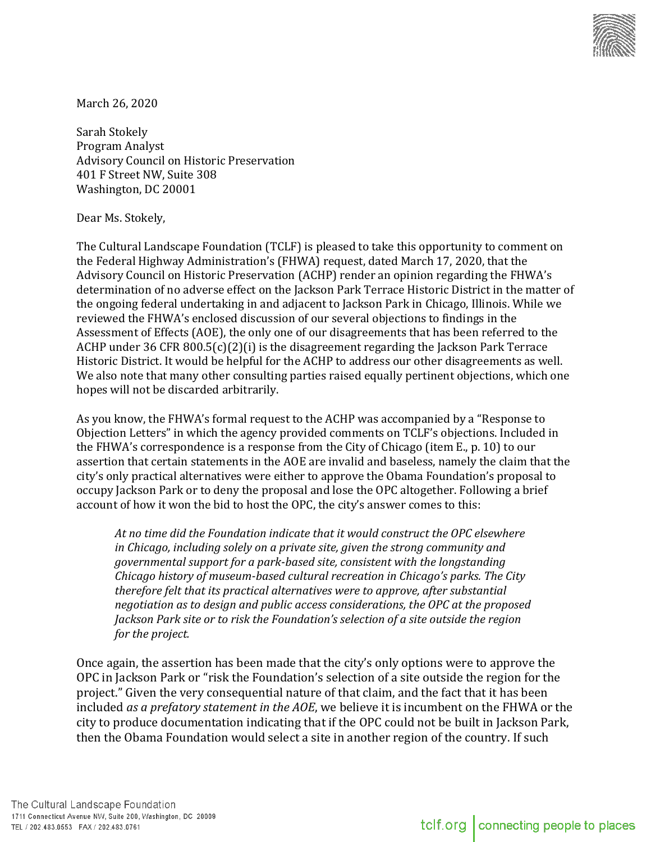

March 26, 2020

Sarah Stokely Program Analyst Advisory Council on Historic Preservation 401 F Street NW, Suite 308 Washington, DC 20001

Dear Ms. Stokely,

The Cultural Landscape Foundation (TCLF) is pleased to take this opportunity to comment on the Federal Highway Administration's (FHWA) request, dated March 17, 2020, that the Advisory Council on Historic Preservation (ACHP) render an opinion regarding the FHWA's determination of no adverse effect on the Jackson Park Terrace Historic District in the matter of the ongoing federal undertaking in and adjacent to Jackson Park in Chicago, Illinois. While we reviewed the FHWA's enclosed discussion of our several objections to findings in the Assessment of Effects (AOE), the only one of our disagreements that has been referred to the ACHP under 36 CFR 800.5(c)(2)(i) is the disagreement regarding the Jackson Park Terrace Historic District. It would be helpful for the ACHP to address our other disagreements as well. We also note that many other consulting parties raised equally pertinent objections, which one hopes will not be discarded arbitrarily.

As you know, the FHWA's formal request to the ACHP was accompanied by a "Response to Objection Letters" in which the agency provided comments on TCLF's objections. Included in the FHWA's correspondence is a response from the City of Chicago (item E., p. 10) to our assertion that certain statements in the AOE are invalid and baseless, namely the claim that the city's only practical alternatives were either to approve the Obama Foundation's proposal to occupy Jackson Park or to deny the proposal and lose the OPC altogether. Following a brief account of how it won the bid to host the OPC, the city's answer comes to this:

*At no time did the Foundation indicate that it would construct the OPC elsewhere in Chicago, including solely on a private site, given the strong community and governmental support for a park-based site, consistent with the longstanding Chicago history of museum-based cultural recreation in Chicago's parks. The City therefore felt that its practical alternatives were to approve, after substantial negotiation as to design and public access considerations, the OPC at the proposed Jackson Park site or to risk the Foundation's selection of a site outside the region for the project.*

Once again, the assertion has been made that the city's only options were to approve the OPC in Jackson Park or "risk the Foundation's selection of a site outside the region for the project." Given the very consequential nature of that claim, and the fact that it has been included *as a prefatory statement in the AOE*, we believe it is incumbent on the FHWA or the city to produce documentation indicating that if the OPC could not be built in Jackson Park, then the Obama Foundation would select a site in another region of the country. If such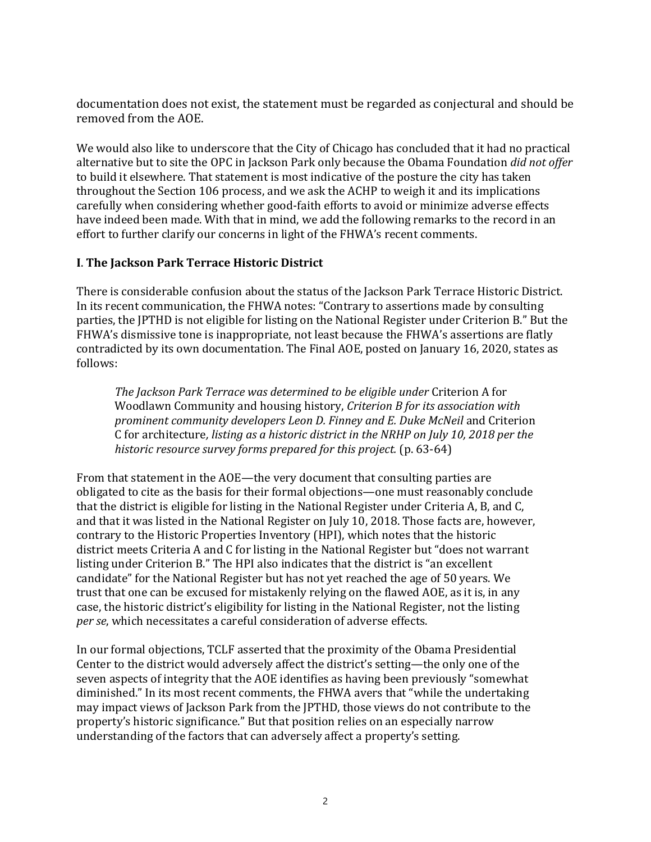documentation does not exist, the statement must be regarded as conjectural and should be removed from the AOE.

We would also like to underscore that the City of Chicago has concluded that it had no practical alternative but to site the OPC in Jackson Park only because the Obama Foundation *did not offer* to build it elsewhere. That statement is most indicative of the posture the city has taken throughout the Section 106 process, and we ask the ACHP to weigh it and its implications carefully when considering whether good-faith efforts to avoid or minimize adverse effects have indeed been made. With that in mind, we add the following remarks to the record in an effort to further clarify our concerns in light of the FHWA's recent comments.

## **I**. **The Jackson Park Terrace Historic District**

There is considerable confusion about the status of the Jackson Park Terrace Historic District. In its recent communication, the FHWA notes: "Contrary to assertions made by consulting parties, the JPTHD is not eligible for listing on the National Register under Criterion B." But the FHWA's dismissive tone is inappropriate, not least because the FHWA's assertions are flatly contradicted by its own documentation. The Final AOE, posted on January 16, 2020, states as follows:

*The Jackson Park Terrace was determined to be eligible under* Criterion A for Woodlawn Community and housing history, *Criterion B for its association with prominent community developers Leon D. Finney and E. Duke McNeil* and Criterion C for architecture*, listing as a historic district in the NRHP on July 10, 2018 per the*  historic resource survey forms prepared for this project. (p. 63-64)

From that statement in the AOE—the very document that consulting parties are obligated to cite as the basis for their formal objections—one must reasonably conclude that the district is eligible for listing in the National Register under Criteria A, B, and C, and that it was listed in the National Register on July 10, 2018. Those facts are, however, contrary to the Historic Properties Inventory (HPI), which notes that the historic district meets Criteria A and C for listing in the National Register but "does not warrant listing under Criterion B." The HPI also indicates that the district is "an excellent candidate" for the National Register but has not yet reached the age of 50 years. We trust that one can be excused for mistakenly relying on the flawed AOE, as it is, in any case, the historic district's eligibility for listing in the National Register, not the listing *per se*, which necessitates a careful consideration of adverse effects.

In our formal objections, TCLF asserted that the proximity of the Obama Presidential Center to the district would adversely affect the district's setting—the only one of the seven aspects of integrity that the AOE identifies as having been previously "somewhat diminished." In its most recent comments, the FHWA avers that "while the undertaking may impact views of Jackson Park from the JPTHD, those views do not contribute to the property's historic significance." But that position relies on an especially narrow understanding of the factors that can adversely affect a property's setting.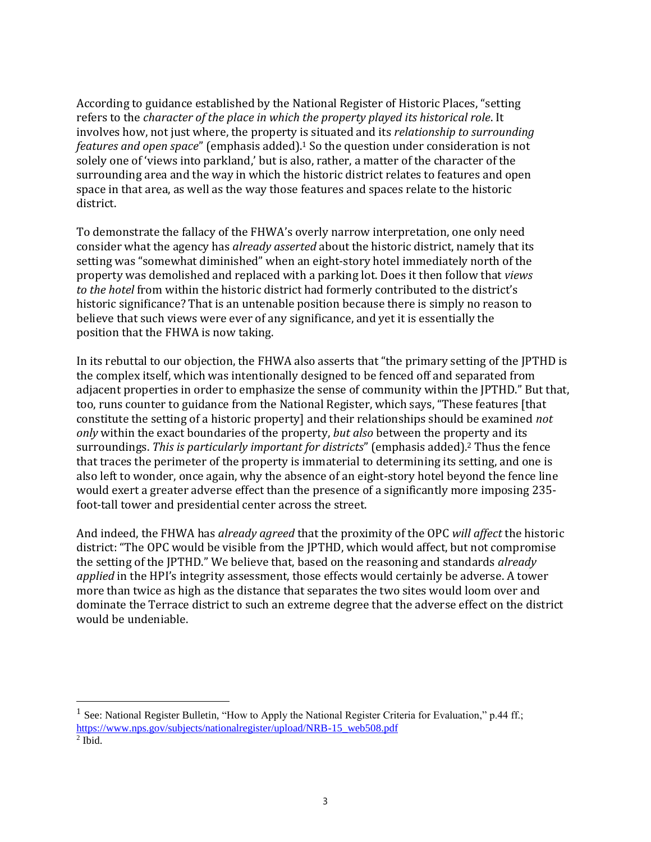According to guidance established by the National Register of Historic Places, "setting refers to the *character of the place in which the property played its historical role*. It involves how, not just where, the property is situated and its *relationship to surrounding features and open space*" (emphasis added). <sup>1</sup> So the question under consideration is not solely one of 'views into parkland,' but is also, rather, a matter of the character of the surrounding area and the way in which the historic district relates to features and open space in that area, as well as the way those features and spaces relate to the historic district.

To demonstrate the fallacy of the FHWA's overly narrow interpretation, one only need consider what the agency has *already asserted* about the historic district, namely that its setting was "somewhat diminished" when an eight-story hotel immediately north of the property was demolished and replaced with a parking lot. Does it then follow that *views to the hotel* from within the historic district had formerly contributed to the district's historic significance? That is an untenable position because there is simply no reason to believe that such views were ever of any significance, and yet it is essentially the position that the FHWA is now taking.

In its rebuttal to our objection, the FHWA also asserts that "the primary setting of the JPTHD is the complex itself, which was intentionally designed to be fenced off and separated from adjacent properties in order to emphasize the sense of community within the JPTHD." But that, too, runs counter to guidance from the National Register, which says, "These features [that constitute the setting of a historic property] and their relationships should be examined *not only* within the exact boundaries of the property, *but also* between the property and its surroundings. *This is particularly important for districts*" (emphasis added).<sup>2</sup> Thus the fence that traces the perimeter of the property is immaterial to determining its setting, and one is also left to wonder, once again, why the absence of an eight-story hotel beyond the fence line would exert a greater adverse effect than the presence of a significantly more imposing 235 foot-tall tower and presidential center across the street.

And indeed, the FHWA has *already agreed* that the proximity of the OPC *will affect* the historic district: "The OPC would be visible from the JPTHD, which would affect, but not compromise the setting of the JPTHD." We believe that, based on the reasoning and standards *already applied* in the HPI's integrity assessment, those effects would certainly be adverse. A tower more than twice as high as the distance that separates the two sites would loom over and dominate the Terrace district to such an extreme degree that the adverse effect on the district would be undeniable.

 $\overline{a}$ 

<sup>&</sup>lt;sup>1</sup> See: National Register Bulletin, "How to Apply the National Register Criteria for Evaluation," p.44 ff.; [https://www.nps.gov/subjects/nationalregister/upload/NRB-15\\_web508.pdf](https://www.nps.gov/subjects/nationalregister/upload/NRB-15_web508.pdf)  $<sup>2</sup>$  Ibid.</sup>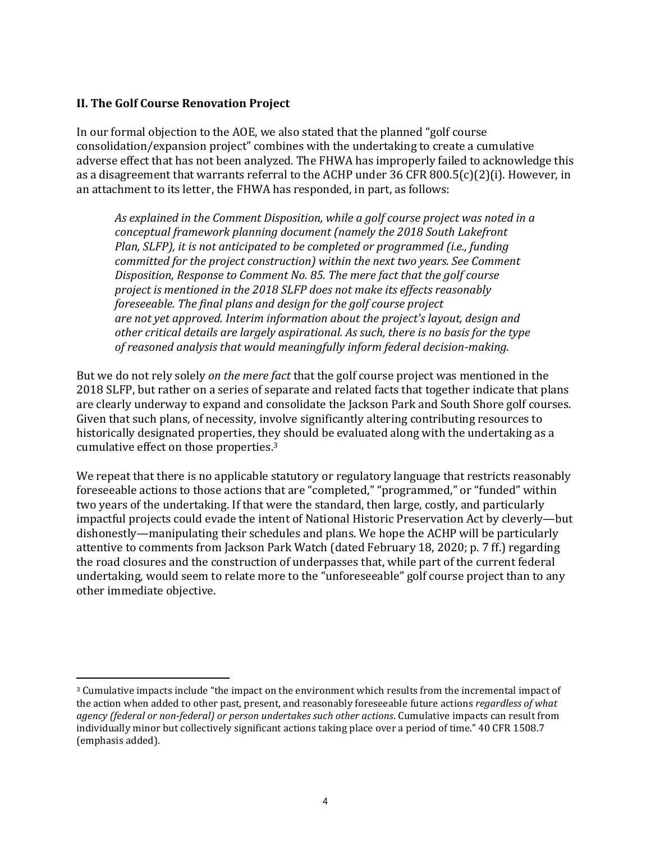## **II. The Golf Course Renovation Project**

 $\overline{a}$ 

In our formal objection to the AOE, we also stated that the planned "golf course consolidation/expansion project" combines with the undertaking to create a cumulative adverse effect that has not been analyzed. The FHWA has improperly failed to acknowledge this as a disagreement that warrants referral to the ACHP under 36 CFR 800.5(c)(2)(i). However, in an attachment to its letter, the FHWA has responded, in part, as follows:

*As explained in the Comment Disposition, while a golf course project was noted in a conceptual framework planning document (namely the 2018 South Lakefront Plan, SLFP), it is not anticipated to be completed or programmed (i.e., funding committed for the project construction) within the next two years. See Comment Disposition, Response to Comment No. 85. The mere fact that the golf course project is mentioned in the 2018 SLFP does not make its effects reasonably foreseeable. The final plans and design for the golf course project are not yet approved. Interim information about the project's layout, design and other critical details are largely aspirational. As such, there is no basis for the type of reasoned analysis that would meaningfully inform federal decision-making.*

But we do not rely solely *on the mere fact* that the golf course project was mentioned in the 2018 SLFP, but rather on a series of separate and related facts that together indicate that plans are clearly underway to expand and consolidate the Jackson Park and South Shore golf courses. Given that such plans, of necessity, involve significantly altering contributing resources to historically designated properties, they should be evaluated along with the undertaking as a cumulative effect on those properties. 3

We repeat that there is no applicable statutory or regulatory language that restricts reasonably foreseeable actions to those actions that are "completed," "programmed," or "funded" within two years of the undertaking. If that were the standard, then large, costly, and particularly impactful projects could evade the intent of National Historic Preservation Act by cleverly—but dishonestly—manipulating their schedules and plans. We hope the ACHP will be particularly attentive to comments from Jackson Park Watch (dated February 18, 2020; p. 7 ff.) regarding the road closures and the construction of underpasses that, while part of the current federal undertaking, would seem to relate more to the "unforeseeable" golf course project than to any other immediate objective.

<sup>3</sup> Cumulative impacts include "the impact on the environment which results from the incremental impact of the action when added to other past, present, and reasonably foreseeable future actions *regardless of what agency (federal or non-federal) or person undertakes such other actions*. Cumulative impacts can result from individually minor but collectively significant actions taking place over a period of time." 40 CFR 1508.7 (emphasis added).